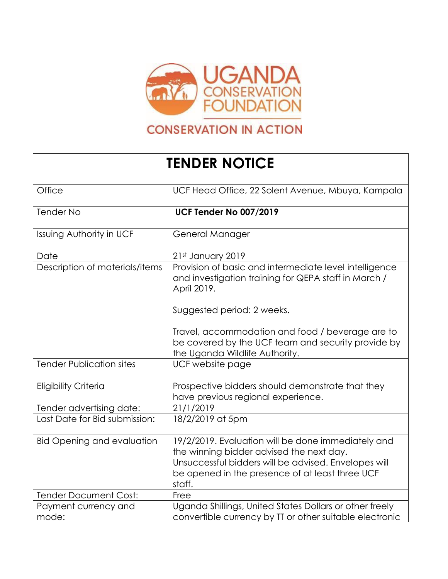

## **CONSERVATION IN ACTION**

## **TENDER NOTICE**

| Office                            | UCF Head Office, 22 Solent Avenue, Mbuya, Kampala                                                                                                                                                                   |
|-----------------------------------|---------------------------------------------------------------------------------------------------------------------------------------------------------------------------------------------------------------------|
| <b>Tender No</b>                  | <b>UCF Tender No 007/2019</b>                                                                                                                                                                                       |
| Issuing Authority in UCF          | General Manager                                                                                                                                                                                                     |
| Date                              | 21st January 2019                                                                                                                                                                                                   |
| Description of materials/items    | Provision of basic and intermediate level intelligence<br>and investigation training for QEPA staff in March /<br>April 2019.                                                                                       |
|                                   | Suggested period: 2 weeks.                                                                                                                                                                                          |
|                                   | Travel, accommodation and food / beverage are to<br>be covered by the UCF team and security provide by<br>the Uganda Wildlife Authority.                                                                            |
| <b>Tender Publication sites</b>   | UCF website page                                                                                                                                                                                                    |
| <b>Eligibility Criteria</b>       | Prospective bidders should demonstrate that they<br>have previous regional experience.                                                                                                                              |
| Tender advertising date:          | 21/1/2019                                                                                                                                                                                                           |
| Last Date for Bid submission:     | 18/2/2019 at 5pm                                                                                                                                                                                                    |
| <b>Bid Opening and evaluation</b> | 19/2/2019. Evaluation will be done immediately and<br>the winning bidder advised the next day.<br>Unsuccessful bidders will be advised. Envelopes will<br>be opened in the presence of at least three UCF<br>staff. |
| <b>Tender Document Cost:</b>      | Free                                                                                                                                                                                                                |
| Payment currency and<br>mode:     | Uganda Shillings, United States Dollars or other freely<br>convertible currency by TT or other suitable electronic                                                                                                  |